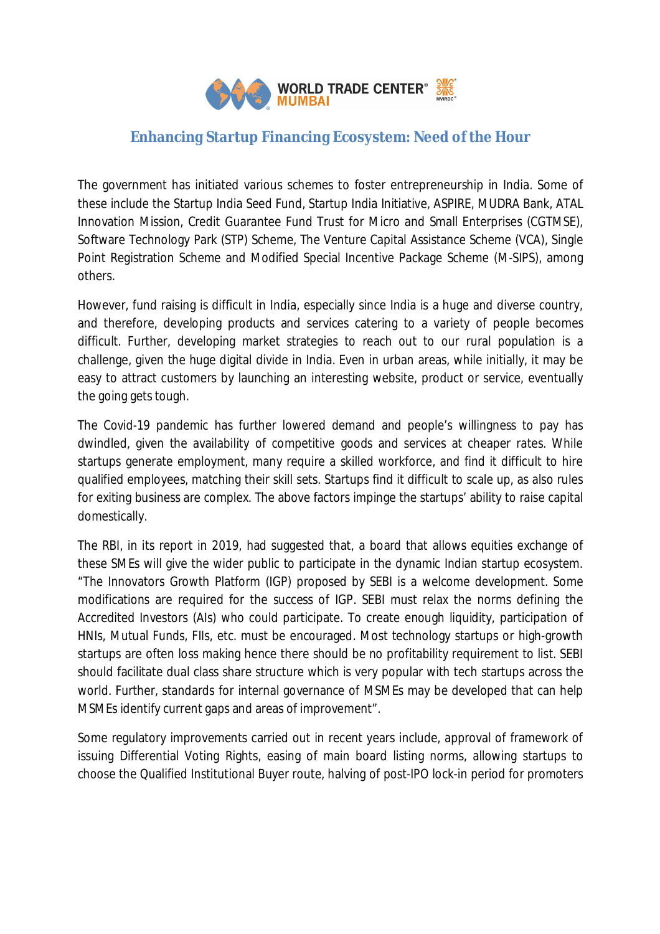

## **Enhancing Startup Financing Ecosystem: Need of the Hour**

The government has initiated various schemes to foster entrepreneurship in India. Some of these include the Startup India Seed Fund, Startup India Initiative, ASPIRE, MUDRA Bank, ATAL Innovation Mission, Credit Guarantee Fund Trust for Micro and Small Enterprises (CGTMSE), Software Technology Park (STP) Scheme, The Venture Capital Assistance Scheme (VCA), Single Point Registration Scheme and Modified Special Incentive Package Scheme (M-SIPS), among others.

However, fund raising is difficult in India, especially since India is a huge and diverse country, and therefore, developing products and services catering to a variety of people becomes difficult. Further, developing market strategies to reach out to our rural population is a challenge, given the huge digital divide in India. Even in urban areas, while initially, it may be easy to attract customers by launching an interesting website, product or service, eventually the going gets tough.

The Covid-19 pandemic has further lowered demand and people's willingness to pay has dwindled, given the availability of competitive goods and services at cheaper rates. While startups generate employment, many require a skilled workforce, and find it difficult to hire qualified employees, matching their skill sets. Startups find it difficult to scale up, as also rules for exiting business are complex. The above factors impinge the startups' ability to raise capital domestically.

The RBI, in its report in 2019, had suggested that, a board that allows equities exchange of these SMEs will give the wider public to participate in the dynamic Indian startup ecosystem. "The Innovators Growth Platform (IGP) proposed by SEBI is a welcome development. Some modifications are required for the success of IGP. SEBI must relax the norms defining the Accredited Investors (AIs) who could participate. To create enough liquidity, participation of HNIs, Mutual Funds, FIIs, etc. must be encouraged. Most technology startups or high-growth startups are often loss making hence there should be no profitability requirement to list. SEBI should facilitate dual class share structure which is very popular with tech startups across the world. Further, standards for internal governance of MSMEs may be developed that can help MSMEs identify current gaps and areas of improvement".

Some regulatory improvements carried out in recent years include, approval of framework of issuing Differential Voting Rights, easing of main board listing norms, allowing startups to choose the Qualified Institutional Buyer route, halving of post-IPO lock-in period for promoters